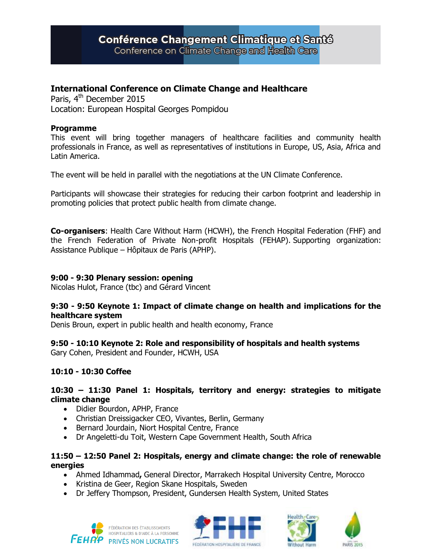# Conférence Changement Climatique et Santé

Conference on Climate Change and Health Care

# **International Conference on Climate Change and Healthcare**

Paris, 4<sup>th</sup> December 2015 Location: European Hospital Georges Pompidou

#### **Programme**

This event will bring together managers of healthcare facilities and community health professionals in France, as well as representatives of institutions in Europe, US, Asia, Africa and Latin America.

The event will be held in parallel with the negotiations at the UN Climate Conference.

Participants will showcase their strategies for reducing their carbon footprint and leadership in promoting policies that protect public health from climate change.

**Co-organisers**: Health Care Without Harm (HCWH), the French Hospital Federation (FHF) and the French Federation of Private Non-profit Hospitals (FEHAP). Supporting organization: Assistance Publique – Hôpitaux de Paris (APHP).

#### **9:00 - 9:30 Plenary session: opening**

Nicolas Hulot, France (tbc) and Gérard Vincent

#### **9:30 - 9:50 Keynote 1: Impact of climate change on health and implications for the healthcare system**

Denis Broun, expert in public health and health economy, France

## **9:50 - 10:10 Keynote 2: Role and responsibility of hospitals and health systems**

Gary Cohen, President and Founder, HCWH, USA

## **10:10 - 10:30 Coffee**

#### **10:30 – 11:30 Panel 1: Hospitals, territory and energy: strategies to mitigate climate change**

- Didier Bourdon, APHP, France
- Christian Dreissigacker CEO, Vivantes, Berlin, Germany
- Bernard Jourdain, Niort Hospital Centre, France
- Dr Angeletti-du Toit, Western Cape Government Health, South Africa

#### **11:50 – 12:50 Panel 2: Hospitals, energy and climate change: the role of renewable energies**

- Ahmed Idhammad**,** General Director, Marrakech Hospital University Centre, Morocco
- Kristina de Geer, Region Skane Hospitals, Sweden
- Dr Jeffery Thompson, President, Gundersen Health System, United States